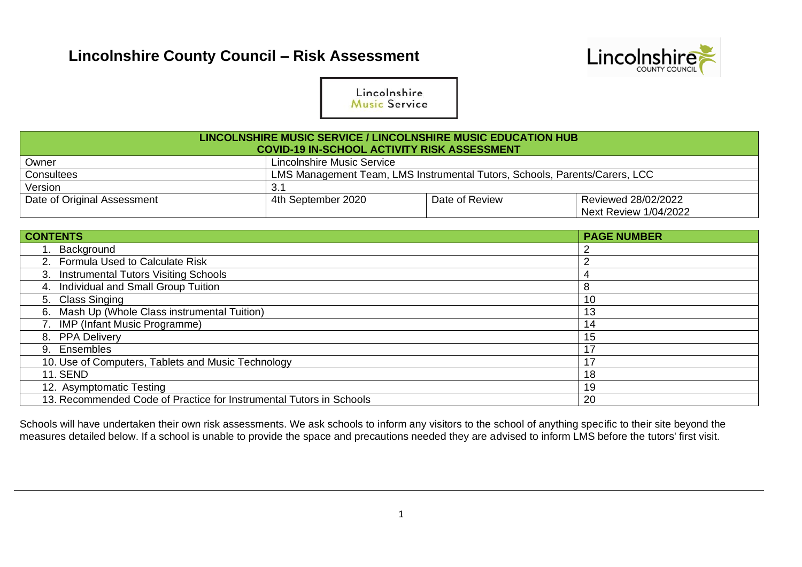

Lincolnshire Music Service

| LINCOLNSHIRE MUSIC SERVICE / LINCOLNSHIRE MUSIC EDUCATION HUB<br><b>COVID-19 IN-SCHOOL ACTIVITY RISK ASSESSMENT</b> |                            |                |                                                     |  |  |  |  |  |  |  |
|---------------------------------------------------------------------------------------------------------------------|----------------------------|----------------|-----------------------------------------------------|--|--|--|--|--|--|--|
| Owner                                                                                                               | Lincolnshire Music Service |                |                                                     |  |  |  |  |  |  |  |
| <b>Consultees</b><br>LMS Management Team, LMS Instrumental Tutors, Schools, Parents/Carers, LCC                     |                            |                |                                                     |  |  |  |  |  |  |  |
| Version                                                                                                             | 3.1                        |                |                                                     |  |  |  |  |  |  |  |
| Date of Original Assessment                                                                                         | 4th September 2020         | Date of Review | Reviewed 28/02/2022<br><b>Next Review 1/04/2022</b> |  |  |  |  |  |  |  |

| <b>CONTENTS</b>                                                     | <b>PAGE NUMBER</b> |
|---------------------------------------------------------------------|--------------------|
| 1. Background                                                       |                    |
| 2. Formula Used to Calculate Risk                                   |                    |
| 3. Instrumental Tutors Visiting Schools                             |                    |
| 4. Individual and Small Group Tuition                               | 8                  |
| 5. Class Singing                                                    | 10                 |
| 6. Mash Up (Whole Class instrumental Tuition)                       | 13                 |
| 7. IMP (Infant Music Programme)                                     | 14                 |
| 8. PPA Delivery                                                     | 15                 |
| 9. Ensembles                                                        | 17                 |
| 10. Use of Computers, Tablets and Music Technology                  | 17                 |
| <b>11. SEND</b>                                                     | 18                 |
| 12. Asymptomatic Testing                                            | 19                 |
| 13. Recommended Code of Practice for Instrumental Tutors in Schools | 20                 |

Schools will have undertaken their own risk assessments. We ask schools to inform any visitors to the school of anything specific to their site beyond the measures detailed below. If a school is unable to provide the space and precautions needed they are advised to inform LMS before the tutors' first visit.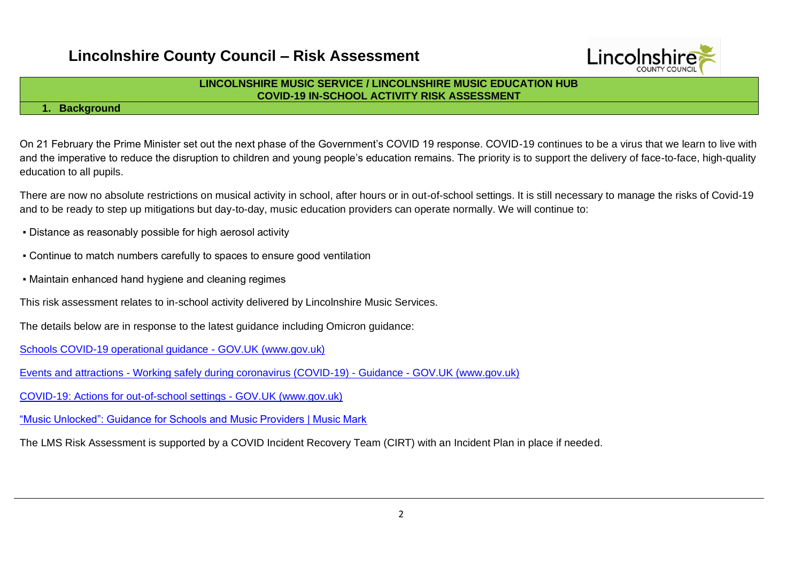

### **LINCOLNSHIRE MUSIC SERVICE / LINCOLNSHIRE MUSIC EDUCATION HUB COVID-19 IN-SCHOOL ACTIVITY RISK ASSESSMENT**

### **1. Background**

On 21 February the Prime Minister set out the next phase of the Government's COVID 19 response. COVID-19 continues to be a virus that we learn to live with and the imperative to reduce the disruption to children and young people's education remains. The priority is to support the delivery of face-to-face, high-quality education to all pupils.

There are now no absolute restrictions on musical activity in school, after hours or in out-of-school settings. It is still necessary to manage the risks of Covid-19 and to be ready to step up mitigations but day-to-day, music education providers can operate normally. We will continue to:

- Distance as reasonably possible for high aerosol activity
- Continue to match numbers carefully to spaces to ensure good ventilation
- Maintain enhanced hand hygiene and cleaning regimes

This risk assessment relates to in-school activity delivered by Lincolnshire Music Services.

The details below are in response to the latest guidance including Omicron guidance:

[Schools COVID-19 operational guidance -](https://www.gov.uk/government/publications/actions-for-schools-during-the-coronavirus-outbreak/schools-covid-19-operational-guidance) GOV.UK (www.gov.uk)

Events and attractions - [Working safely during coronavirus \(COVID-19\) -](https://www.gov.uk/guidance/working-safely-during-covid-19/events-and-attractions) Guidance - GOV.UK (www.gov.uk)

[COVID-19: Actions for out-of-school settings -](https://www.gov.uk/government/publications/protective-measures-for-holiday-or-after-school-clubs-and-other-out-of-school-settings-for-children-during-the-coronavirus-covid-19-outbreak/covid-19-actions-for-out-of-school-settings) GOV.UK (www.gov.uk)

["Music Unlocked": Guidance for Schools and Music Providers | Music Mark](https://www.musicmark.org.uk/resources/music-unlocked-guidance-for-schools-and-music-providers/)

The LMS Risk Assessment is supported by a COVID Incident Recovery Team (CIRT) with an Incident Plan in place if needed.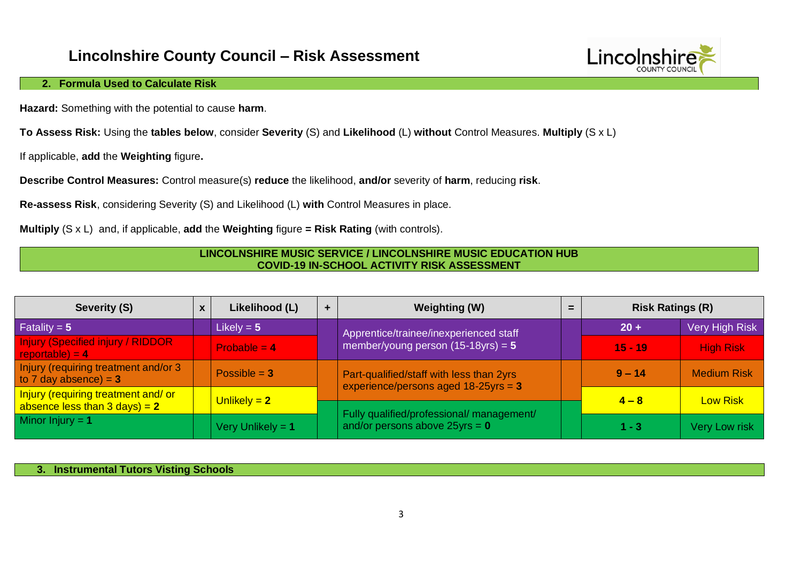

### **2. Formula Used to Calculate Risk**

**Hazard:** Something with the potential to cause **harm**.

**To Assess Risk:** Using the **tables below**, consider **Severity** (S) and **Likelihood** (L) **without** Control Measures. **Multiply** (S x L)

If applicable, **add** the **Weighting** figure**.**

**Describe Control Measures:** Control measure(s) **reduce** the likelihood, **and/or** severity of **harm**, reducing **risk**.

**Re-assess Risk**, considering Severity (S) and Likelihood (L) **with** Control Measures in place.

**Multiply** (S x L) and, if applicable, **add** the **Weighting** figure **= Risk Rating** (with controls).

#### **LINCOLNSHIRE MUSIC SERVICE / LINCOLNSHIRE MUSIC EDUCATION HUB COVID-19 IN-SCHOOL ACTIVITY RISK ASSESSMENT**

| Severity (S)                                                            | $\mathbf{x}$ | Likelihood (L)      | ٠ | <b>Weighting (W)</b>                                                                |  | <b>Risk Ratings (R)</b> |                       |
|-------------------------------------------------------------------------|--------------|---------------------|---|-------------------------------------------------------------------------------------|--|-------------------------|-----------------------|
| Fatality = $5$                                                          |              | Likely = $5$        |   | Apprentice/trainee/inexperienced staff                                              |  | $20 +$                  | <b>Very High Risk</b> |
| <b>Injury (Specified injury / RIDDOR)</b><br>reportable) = $4$          |              | Probable $= 4$      |   | member/young person $(15-18)$ yrs) = 5                                              |  | $15 - 19$               | <b>High Risk</b>      |
| Injury (requiring treatment and/or 3<br>to 7 day absence) = $3$         |              | Possible $= 3$      |   | Part-qualified/staff with less than 2yrs<br>experience/persons aged $18-25$ yrs = 3 |  | $9 - 14$                | <b>Medium Risk</b>    |
| Injury (requiring treatment and/or<br>absence less than $3$ days) = $2$ |              | Unlikely $= 2$      |   |                                                                                     |  | $4 - 8$                 | <b>Low Risk</b>       |
| Minor Injury = $1$                                                      |              | Very Unlikely = $1$ |   | Fully qualified/professional/ management/<br>and/or persons above $25$ yrs = 0      |  | $1 - 3$                 | Very Low risk         |

**3. Instrumental Tutors Visting Schools**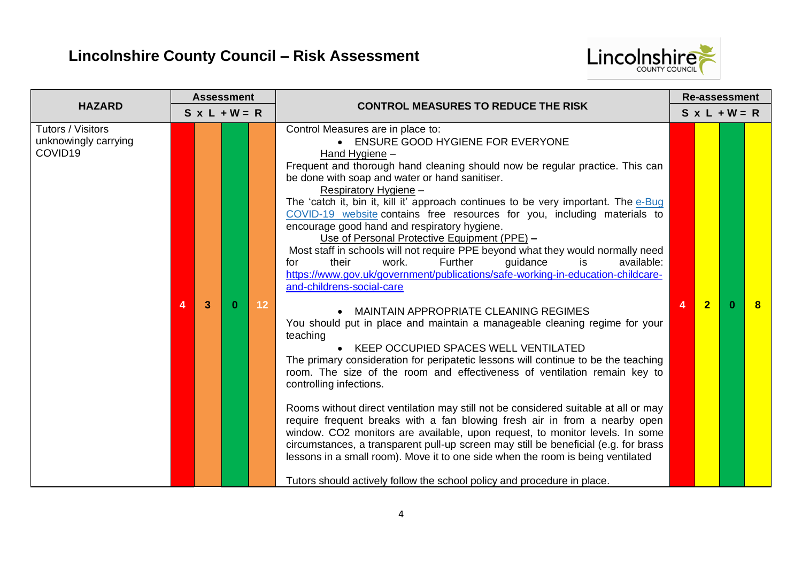

|                                                                  |   | <b>Assessment</b> |                      |    |                                                                                                                                                                                                                                                                                                                                                                                                                                                                                                                                                                                                                                                                                                                                                                                                                                                                                                                                                                                                                                                                                                                                                                                                                                                                                                                                                                                                                                                                                                                                                                                                                                                                                    | <b>Re-assessment</b> |                |                      |              |
|------------------------------------------------------------------|---|-------------------|----------------------|----|------------------------------------------------------------------------------------------------------------------------------------------------------------------------------------------------------------------------------------------------------------------------------------------------------------------------------------------------------------------------------------------------------------------------------------------------------------------------------------------------------------------------------------------------------------------------------------------------------------------------------------------------------------------------------------------------------------------------------------------------------------------------------------------------------------------------------------------------------------------------------------------------------------------------------------------------------------------------------------------------------------------------------------------------------------------------------------------------------------------------------------------------------------------------------------------------------------------------------------------------------------------------------------------------------------------------------------------------------------------------------------------------------------------------------------------------------------------------------------------------------------------------------------------------------------------------------------------------------------------------------------------------------------------------------------|----------------------|----------------|----------------------|--------------|
| <b>HAZARD</b>                                                    |   |                   | $S \times L + W = R$ |    | <b>CONTROL MEASURES TO REDUCE THE RISK</b>                                                                                                                                                                                                                                                                                                                                                                                                                                                                                                                                                                                                                                                                                                                                                                                                                                                                                                                                                                                                                                                                                                                                                                                                                                                                                                                                                                                                                                                                                                                                                                                                                                         |                      |                | $S \times L + W = R$ |              |
| Tutors / Visitors<br>unknowingly carrying<br>COVID <sub>19</sub> | 4 | 3                 | $\mathbf{0}$         | 12 | Control Measures are in place to:<br>ENSURE GOOD HYGIENE FOR EVERYONE<br>Hand Hygiene -<br>Frequent and thorough hand cleaning should now be regular practice. This can<br>be done with soap and water or hand sanitiser.<br>Respiratory Hygiene -<br>The 'catch it, bin it, kill it' approach continues to be very important. The e-Bug<br>COVID-19 website contains free resources for you, including materials to<br>encourage good hand and respiratory hygiene.<br>Use of Personal Protective Equipment (PPE) -<br>Most staff in schools will not require PPE beyond what they would normally need<br>work.<br>Further<br>guidance<br>available:<br>their<br>is<br>for<br>https://www.gov.uk/government/publications/safe-working-in-education-childcare-<br>and-childrens-social-care<br>• MAINTAIN APPROPRIATE CLEANING REGIMES<br>You should put in place and maintain a manageable cleaning regime for your<br>teaching<br>• KEEP OCCUPIED SPACES WELL VENTILATED<br>The primary consideration for peripatetic lessons will continue to be the teaching<br>room. The size of the room and effectiveness of ventilation remain key to<br>controlling infections.<br>Rooms without direct ventilation may still not be considered suitable at all or may<br>require frequent breaks with a fan blowing fresh air in from a nearby open<br>window. CO2 monitors are available, upon request, to monitor levels. In some<br>circumstances, a transparent pull-up screen may still be beneficial (e.g. for brass<br>lessons in a small room). Move it to one side when the room is being ventilated<br>Tutors should actively follow the school policy and procedure in place. |                      | $\overline{2}$ |                      | $\mathbf{R}$ |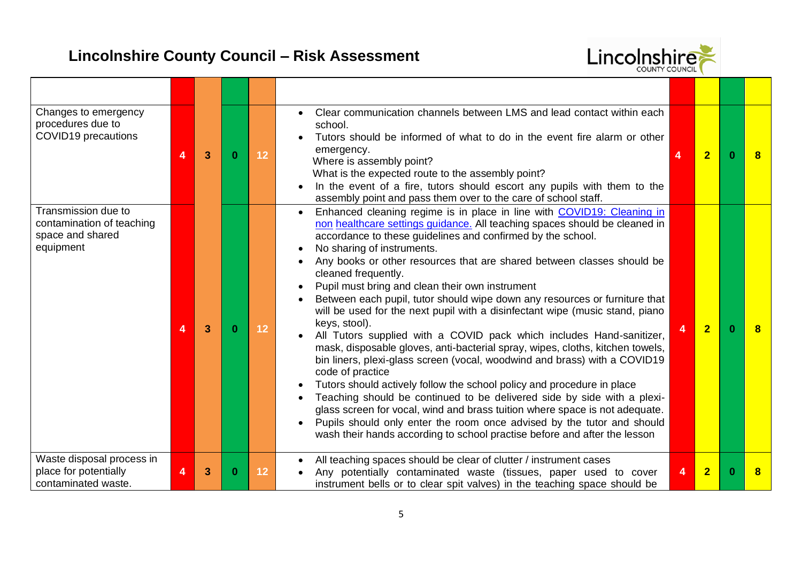

| Changes to emergency<br>procedures due to<br>COVID19 precautions                  | 4 | 3 | 0 | 12 | Clear communication channels between LMS and lead contact within each<br>school.<br>Tutors should be informed of what to do in the event fire alarm or other<br>emergency.<br>Where is assembly point?<br>What is the expected route to the assembly point?<br>In the event of a fire, tutors should escort any pupils with them to the<br>assembly point and pass them over to the care of school staff.                                                                                                                                                                                                                                                                                                                                                                                                                                                                                                                                                                                                                                                                                                                                                                                                                                 | 4 | $\overline{2}$ | $\Omega$ | 8 |
|-----------------------------------------------------------------------------------|---|---|---|----|-------------------------------------------------------------------------------------------------------------------------------------------------------------------------------------------------------------------------------------------------------------------------------------------------------------------------------------------------------------------------------------------------------------------------------------------------------------------------------------------------------------------------------------------------------------------------------------------------------------------------------------------------------------------------------------------------------------------------------------------------------------------------------------------------------------------------------------------------------------------------------------------------------------------------------------------------------------------------------------------------------------------------------------------------------------------------------------------------------------------------------------------------------------------------------------------------------------------------------------------|---|----------------|----------|---|
| Transmission due to<br>contamination of teaching<br>space and shared<br>equipment | Δ | 3 | o | 12 | Enhanced cleaning regime is in place in line with COVID19: Cleaning in<br>non healthcare settings guidance. All teaching spaces should be cleaned in<br>accordance to these guidelines and confirmed by the school.<br>No sharing of instruments.<br>Any books or other resources that are shared between classes should be<br>cleaned frequently.<br>Pupil must bring and clean their own instrument<br>Between each pupil, tutor should wipe down any resources or furniture that<br>will be used for the next pupil with a disinfectant wipe (music stand, piano<br>keys, stool).<br>All Tutors supplied with a COVID pack which includes Hand-sanitizer,<br>mask, disposable gloves, anti-bacterial spray, wipes, cloths, kitchen towels,<br>bin liners, plexi-glass screen (vocal, woodwind and brass) with a COVID19<br>code of practice<br>Tutors should actively follow the school policy and procedure in place<br>Teaching should be continued to be delivered side by side with a plexi-<br>glass screen for vocal, wind and brass tuition where space is not adequate.<br>Pupils should only enter the room once advised by the tutor and should<br>wash their hands according to school practise before and after the lesson |   | $\overline{2}$ |          |   |
| Waste disposal process in<br>place for potentially<br>contaminated waste.         | 4 | 3 | 0 | 12 | All teaching spaces should be clear of clutter / instrument cases<br>Any potentially contaminated waste (tissues, paper used to cover<br>instrument bells or to clear spit valves) in the teaching space should be                                                                                                                                                                                                                                                                                                                                                                                                                                                                                                                                                                                                                                                                                                                                                                                                                                                                                                                                                                                                                        | 4 | $\overline{2}$ |          |   |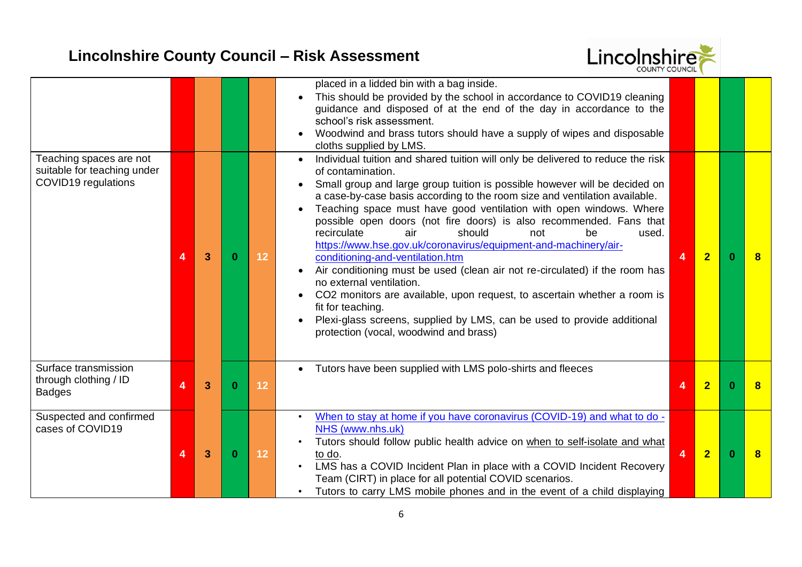

| Teaching spaces are not<br>suitable for teaching under<br><b>COVID19</b> regulations | 4 | 3 | $\bf{0}$     | 12 | placed in a lidded bin with a bag inside.<br>This should be provided by the school in accordance to COVID19 cleaning<br>guidance and disposed of at the end of the day in accordance to the<br>school's risk assessment.<br>Woodwind and brass tutors should have a supply of wipes and disposable<br>cloths supplied by LMS.<br>Individual tuition and shared tuition will only be delivered to reduce the risk<br>of contamination.<br>Small group and large group tuition is possible however will be decided on<br>a case-by-case basis according to the room size and ventilation available.<br>Teaching space must have good ventilation with open windows. Where<br>possible open doors (not fire doors) is also recommended. Fans that<br>recirculate<br>air<br>should<br>not<br>be<br>used.<br>https://www.hse.gov.uk/coronavirus/equipment-and-machinery/air-<br>conditioning-and-ventilation.htm<br>Air conditioning must be used (clean air not re-circulated) if the room has<br>no external ventilation.<br>CO2 monitors are available, upon request, to ascertain whether a room is<br>fit for teaching.<br>Plexi-glass screens, supplied by LMS, can be used to provide additional | $\overline{4}$ | $\overline{2}$ | $\Omega$ | $\bf{8}$ |
|--------------------------------------------------------------------------------------|---|---|--------------|----|----------------------------------------------------------------------------------------------------------------------------------------------------------------------------------------------------------------------------------------------------------------------------------------------------------------------------------------------------------------------------------------------------------------------------------------------------------------------------------------------------------------------------------------------------------------------------------------------------------------------------------------------------------------------------------------------------------------------------------------------------------------------------------------------------------------------------------------------------------------------------------------------------------------------------------------------------------------------------------------------------------------------------------------------------------------------------------------------------------------------------------------------------------------------------------------------------|----------------|----------------|----------|----------|
|                                                                                      |   |   |              |    | protection (vocal, woodwind and brass)                                                                                                                                                                                                                                                                                                                                                                                                                                                                                                                                                                                                                                                                                                                                                                                                                                                                                                                                                                                                                                                                                                                                                             |                |                |          |          |
| Surface transmission<br>through clothing / ID<br><b>Badges</b>                       | 4 | 3 | $\mathbf{0}$ | 12 | Tutors have been supplied with LMS polo-shirts and fleeces                                                                                                                                                                                                                                                                                                                                                                                                                                                                                                                                                                                                                                                                                                                                                                                                                                                                                                                                                                                                                                                                                                                                         | 4              | $\overline{2}$ |          | 8        |
| Suspected and confirmed<br>cases of COVID19                                          | 4 | 3 | $\mathbf{0}$ | 12 | When to stay at home if you have coronavirus (COVID-19) and what to do -<br>NHS (www.nhs.uk)<br>Tutors should follow public health advice on when to self-isolate and what<br>to do.<br>LMS has a COVID Incident Plan in place with a COVID Incident Recovery<br>Team (CIRT) in place for all potential COVID scenarios.<br>Tutors to carry LMS mobile phones and in the event of a child displaying                                                                                                                                                                                                                                                                                                                                                                                                                                                                                                                                                                                                                                                                                                                                                                                               | $\overline{4}$ | $\overline{2}$ | n.       | 8        |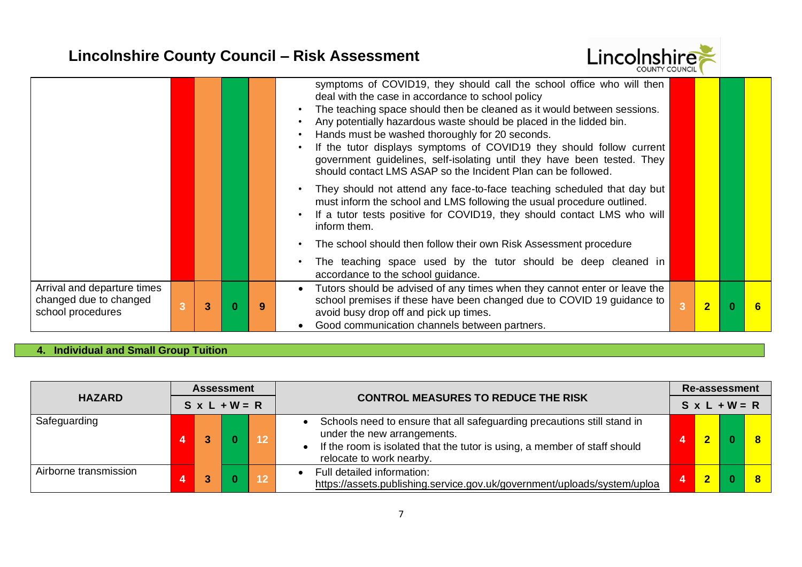

| Arrival and departure times<br>changed due to changed<br>school procedures | 3 | 9 | Tutors should be advised of any times when they cannot enter or leave the<br>$\bullet$<br>school premises if these have been changed due to COVID 19 guidance to<br>avoid busy drop off and pick up times.<br>Good communication channels between partners.                                                                                             | $\overline{2}$ | <sup>0</sup> | -6 |
|----------------------------------------------------------------------------|---|---|---------------------------------------------------------------------------------------------------------------------------------------------------------------------------------------------------------------------------------------------------------------------------------------------------------------------------------------------------------|----------------|--------------|----|
|                                                                            |   |   | The teaching space used by the tutor should be deep cleaned in<br>accordance to the school guidance.                                                                                                                                                                                                                                                    |                |              |    |
|                                                                            |   |   | The school should then follow their own Risk Assessment procedure                                                                                                                                                                                                                                                                                       |                |              |    |
|                                                                            |   |   | They should not attend any face-to-face teaching scheduled that day but<br>must inform the school and LMS following the usual procedure outlined.<br>If a tutor tests positive for COVID19, they should contact LMS who will<br>inform them.                                                                                                            |                |              |    |
|                                                                            |   |   | Any potentially hazardous waste should be placed in the lidded bin.<br>Hands must be washed thoroughly for 20 seconds.<br>If the tutor displays symptoms of COVID19 they should follow current<br>$\bullet$<br>government guidelines, self-isolating until they have been tested. They<br>should contact LMS ASAP so the Incident Plan can be followed. |                |              |    |
|                                                                            |   |   | symptoms of COVID19, they should call the school office who will then<br>deal with the case in accordance to school policy<br>The teaching space should then be cleaned as it would between sessions.                                                                                                                                                   |                |              |    |

### **4. Individual and Small Group Tuition**

| <b>HAZARD</b>         | <b>Assessment</b><br><b>CONTROL MEASURES TO REDUCE THE RISK</b><br>$S \times L + W = R$ |  |    |                                                                                                                                                                                                                 |  | <b>Re-assessment</b><br>$S \times L + W = R$ |  |  |  |  |
|-----------------------|-----------------------------------------------------------------------------------------|--|----|-----------------------------------------------------------------------------------------------------------------------------------------------------------------------------------------------------------------|--|----------------------------------------------|--|--|--|--|
| Safeguarding          |                                                                                         |  | 12 | Schools need to ensure that all safeguarding precautions still stand in<br>under the new arrangements.<br>If the room is isolated that the tutor is using, a member of staff should<br>relocate to work nearby. |  |                                              |  |  |  |  |
| Airborne transmission |                                                                                         |  |    | Full detailed information:<br>https://assets.publishing.service.gov.uk/government/uploads/system/uploa                                                                                                          |  |                                              |  |  |  |  |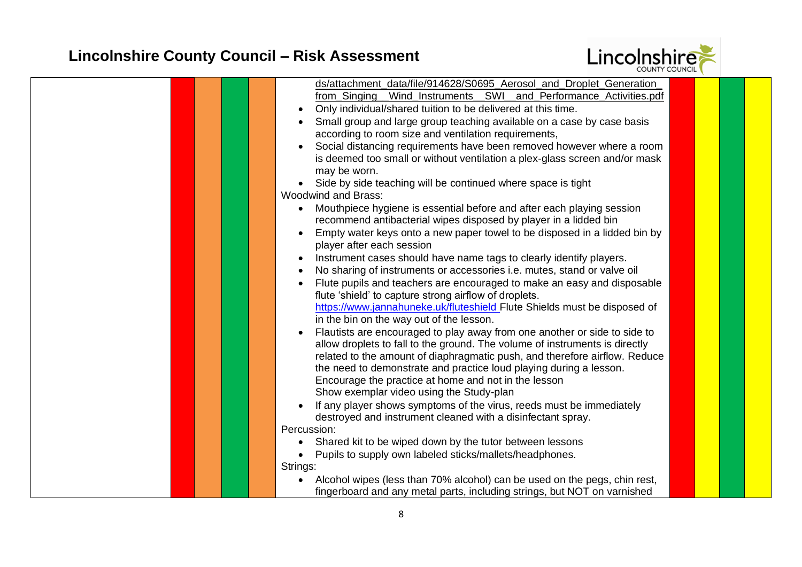

| ds/attachment data/file/914628/S0695 Aerosol and Droplet Generation                |  |
|------------------------------------------------------------------------------------|--|
| from Singing Wind Instruments SWI and Performance Activities.pdf                   |  |
| Only individual/shared tuition to be delivered at this time.                       |  |
| Small group and large group teaching available on a case by case basis             |  |
| according to room size and ventilation requirements,                               |  |
| Social distancing requirements have been removed however where a room              |  |
|                                                                                    |  |
| is deemed too small or without ventilation a plex-glass screen and/or mask         |  |
| may be worn.                                                                       |  |
| Side by side teaching will be continued where space is tight                       |  |
| <b>Woodwind and Brass:</b>                                                         |  |
| Mouthpiece hygiene is essential before and after each playing session<br>$\bullet$ |  |
| recommend antibacterial wipes disposed by player in a lidded bin                   |  |
| Empty water keys onto a new paper towel to be disposed in a lidded bin by          |  |
| player after each session                                                          |  |
| Instrument cases should have name tags to clearly identify players.                |  |
| No sharing of instruments or accessories i.e. mutes, stand or valve oil            |  |
| Flute pupils and teachers are encouraged to make an easy and disposable            |  |
| flute 'shield' to capture strong airflow of droplets.                              |  |
| https://www.jannahuneke.uk/fluteshield Flute Shields must be disposed of           |  |
| in the bin on the way out of the lesson.                                           |  |
| Flautists are encouraged to play away from one another or side to side to          |  |
| allow droplets to fall to the ground. The volume of instruments is directly        |  |
| related to the amount of diaphragmatic push, and therefore airflow. Reduce         |  |
| the need to demonstrate and practice loud playing during a lesson.                 |  |
| Encourage the practice at home and not in the lesson                               |  |
| Show exemplar video using the Study-plan                                           |  |
| If any player shows symptoms of the virus, reeds must be immediately               |  |
| destroyed and instrument cleaned with a disinfectant spray.                        |  |
| Percussion:                                                                        |  |
| Shared kit to be wiped down by the tutor between lessons<br>$\bullet$              |  |
| Pupils to supply own labeled sticks/mallets/headphones.<br>$\bullet$               |  |
| Strings:                                                                           |  |
| Alcohol wipes (less than 70% alcohol) can be used on the pegs, chin rest,          |  |
| fingerboard and any metal parts, including strings, but NOT on varnished           |  |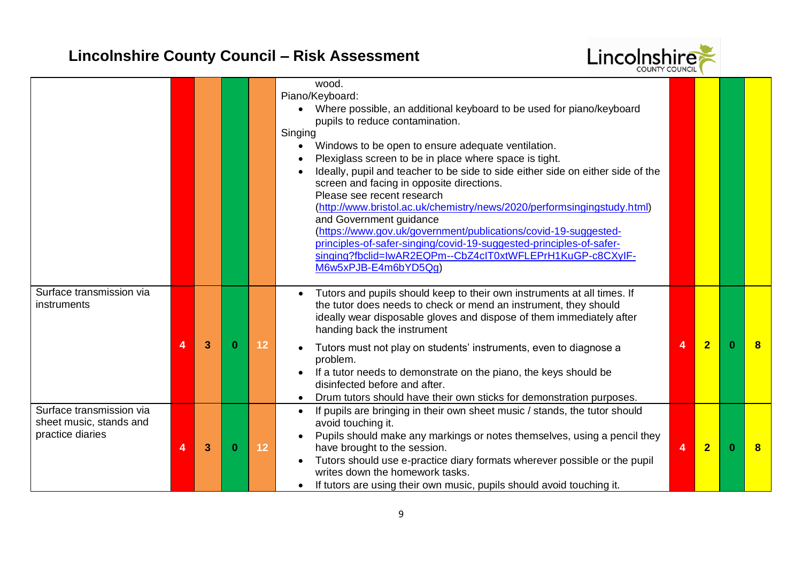

|                                                                         |   |   |              |    | wood.<br>Piano/Keyboard:<br>• Where possible, an additional keyboard to be used for piano/keyboard<br>pupils to reduce contamination.<br>Singing<br>Windows to be open to ensure adequate ventilation.<br>$\bullet$<br>Plexiglass screen to be in place where space is tight.<br>Ideally, pupil and teacher to be side to side either side on either side of the<br>screen and facing in opposite directions.<br>Please see recent research<br>(http://www.bristol.ac.uk/chemistry/news/2020/performsingingstudy.html)<br>and Government guidance<br>(https://www.gov.uk/government/publications/covid-19-suggested-<br>principles-of-safer-singing/covid-19-suggested-principles-of-safer-<br>singing?fbclid=IwAR2EQPm--CbZ4cIT0xtWFLEPrH1KuGP-c8CXyIF-<br>M6w5xPJB-E4m6bYD5Qq) |   |                |          |   |
|-------------------------------------------------------------------------|---|---|--------------|----|----------------------------------------------------------------------------------------------------------------------------------------------------------------------------------------------------------------------------------------------------------------------------------------------------------------------------------------------------------------------------------------------------------------------------------------------------------------------------------------------------------------------------------------------------------------------------------------------------------------------------------------------------------------------------------------------------------------------------------------------------------------------------------|---|----------------|----------|---|
| Surface transmission via<br>instruments                                 |   |   |              |    | Tutors and pupils should keep to their own instruments at all times. If<br>the tutor does needs to check or mend an instrument, they should<br>ideally wear disposable gloves and dispose of them immediately after<br>handing back the instrument                                                                                                                                                                                                                                                                                                                                                                                                                                                                                                                               |   |                |          |   |
|                                                                         | Δ | 3 | $\mathbf{0}$ | 12 | Tutors must not play on students' instruments, even to diagnose a<br>problem.<br>If a tutor needs to demonstrate on the piano, the keys should be<br>disinfected before and after.<br>Drum tutors should have their own sticks for demonstration purposes.                                                                                                                                                                                                                                                                                                                                                                                                                                                                                                                       | 4 | $\overline{2}$ | n        | 8 |
| Surface transmission via<br>sheet music, stands and<br>practice diaries | 4 | 3 | $\bf{0}$     | 12 | If pupils are bringing in their own sheet music / stands, the tutor should<br>avoid touching it.<br>Pupils should make any markings or notes themselves, using a pencil they<br>have brought to the session.<br>Tutors should use e-practice diary formats wherever possible or the pupil<br>writes down the homework tasks.<br>If tutors are using their own music, pupils should avoid touching it.                                                                                                                                                                                                                                                                                                                                                                            | 4 | $\overline{2}$ | $\Omega$ | 8 |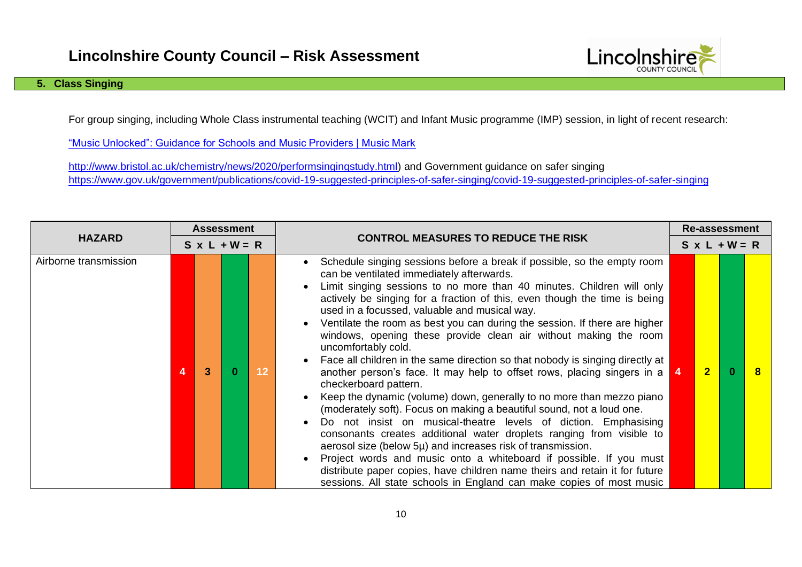# Lincolnshire

### **5. Class Singing**

For group singing, including Whole Class instrumental teaching (WCIT) and Infant Music programme (IMP) session, in light of recent research:

["Music Unlocked": Guidance for Schools and Music Providers | Music Mark](https://www.musicmark.org.uk/resources/music-unlocked-guidance-for-schools-and-music-providers/)

[http://www.bristol.ac.uk/chemistry/news/2020/performsingingstudy.html\)](http://www.bristol.ac.uk/chemistry/news/2020/performsingingstudy.html) and Government guidance on safer singing <https://www.gov.uk/government/publications/covid-19-suggested-principles-of-safer-singing/covid-19-suggested-principles-of-safer-singing>

|                       | <b>Assessment</b> |   |                      |    |                                                                                                                                                                                                                                                                                                                                                                                                                                                                                                                                                                                                                                                                                                                                                                                                                                                                                                                                                                                                                                                                                                                                                                                                                                                                                    |    | Re-assessment        |  |              |  |  |  |
|-----------------------|-------------------|---|----------------------|----|------------------------------------------------------------------------------------------------------------------------------------------------------------------------------------------------------------------------------------------------------------------------------------------------------------------------------------------------------------------------------------------------------------------------------------------------------------------------------------------------------------------------------------------------------------------------------------------------------------------------------------------------------------------------------------------------------------------------------------------------------------------------------------------------------------------------------------------------------------------------------------------------------------------------------------------------------------------------------------------------------------------------------------------------------------------------------------------------------------------------------------------------------------------------------------------------------------------------------------------------------------------------------------|----|----------------------|--|--------------|--|--|--|
| <b>HAZARD</b>         |                   |   | $S \times L + W = R$ |    | <b>CONTROL MEASURES TO REDUCE THE RISK</b>                                                                                                                                                                                                                                                                                                                                                                                                                                                                                                                                                                                                                                                                                                                                                                                                                                                                                                                                                                                                                                                                                                                                                                                                                                         |    | $S \times L + W = R$ |  |              |  |  |  |
| Airborne transmission | 4                 | 3 |                      | 12 | Schedule singing sessions before a break if possible, so the empty room<br>can be ventilated immediately afterwards.<br>Limit singing sessions to no more than 40 minutes. Children will only<br>actively be singing for a fraction of this, even though the time is being<br>used in a focussed, valuable and musical way.<br>Ventilate the room as best you can during the session. If there are higher<br>windows, opening these provide clean air without making the room<br>uncomfortably cold.<br>Face all children in the same direction so that nobody is singing directly at<br>another person's face. It may help to offset rows, placing singers in a<br>checkerboard pattern.<br>Keep the dynamic (volume) down, generally to no more than mezzo piano<br>(moderately soft). Focus on making a beautiful sound, not a loud one.<br>Do not insist on musical-theatre levels of diction. Emphasising<br>consonants creates additional water droplets ranging from visible to<br>aerosol size (below 5µ) and increases risk of transmission.<br>Project words and music onto a whiteboard if possible. If you must<br>distribute paper copies, have children name theirs and retain it for future<br>sessions. All state schools in England can make copies of most music | -4 | $\overline{2}$       |  | $\mathbf{a}$ |  |  |  |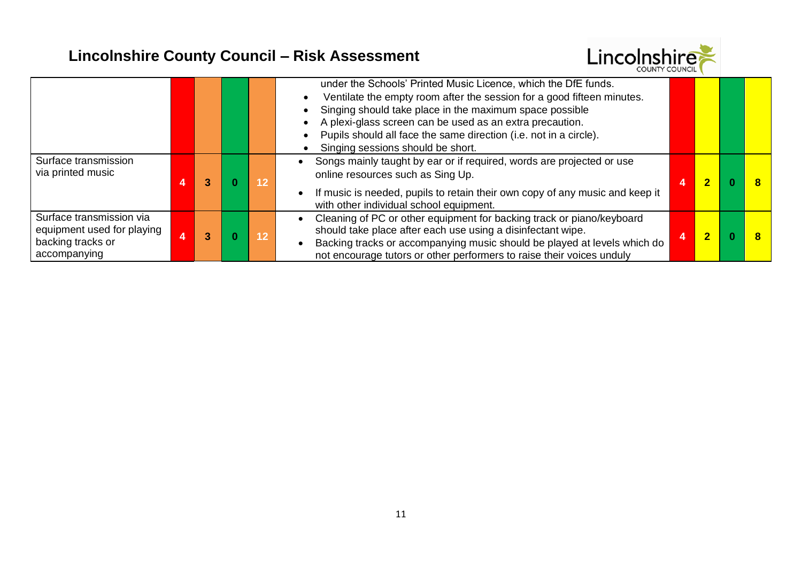

|                                                                                             |   |      | under the Schools' Printed Music Licence, which the DfE funds.<br>Ventilate the empty room after the session for a good fifteen minutes.<br>Singing should take place in the maximum space possible<br>A plexi-glass screen can be used as an extra precaution.<br>Pupils should all face the same direction (i.e. not in a circle).<br>Singing sessions should be short. |                         |  |
|---------------------------------------------------------------------------------------------|---|------|---------------------------------------------------------------------------------------------------------------------------------------------------------------------------------------------------------------------------------------------------------------------------------------------------------------------------------------------------------------------------|-------------------------|--|
| Surface transmission<br>via printed music                                                   | 3 | \12\ | Songs mainly taught by ear or if required, words are projected or use<br>online resources such as Sing Up.<br>If music is needed, pupils to retain their own copy of any music and keep it<br>with other individual school equipment.                                                                                                                                     | 2                       |  |
| Surface transmission via<br>equipment used for playing<br>backing tracks or<br>accompanying | 3 | 12   | Cleaning of PC or other equipment for backing track or piano/keyboard<br>should take place after each use using a disinfectant wipe.<br>Backing tracks or accompanying music should be played at levels which do<br>not encourage tutors or other performers to raise their voices unduly                                                                                 | $\overline{\mathbf{c}}$ |  |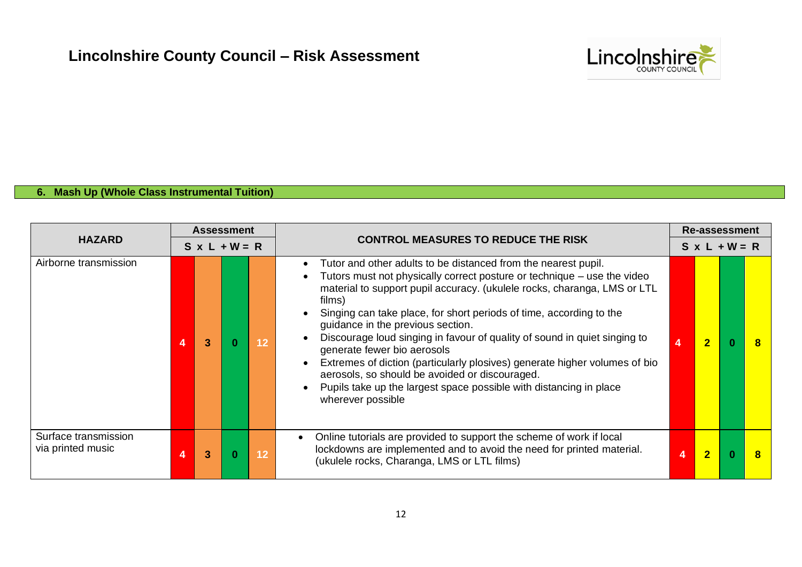

### **6. Mash Up (Whole Class Instrumental Tuition)**

| <b>HAZARD</b>                             |   | <b>Assessment</b> |                      |    |                                                                                                                                                                                                                                                                                                                                                                                                                                                                                                                                                                                                                                                                                    |   | <b>Re-assessment</b> |  |  |  |  |  |
|-------------------------------------------|---|-------------------|----------------------|----|------------------------------------------------------------------------------------------------------------------------------------------------------------------------------------------------------------------------------------------------------------------------------------------------------------------------------------------------------------------------------------------------------------------------------------------------------------------------------------------------------------------------------------------------------------------------------------------------------------------------------------------------------------------------------------|---|----------------------|--|--|--|--|--|
|                                           |   |                   | $S \times L + W = R$ |    | <b>CONTROL MEASURES TO REDUCE THE RISK</b>                                                                                                                                                                                                                                                                                                                                                                                                                                                                                                                                                                                                                                         |   | $S \times L + W = R$ |  |  |  |  |  |
| Airborne transmission                     |   | 3                 |                      | 12 | Tutor and other adults to be distanced from the nearest pupil.<br>Tutors must not physically correct posture or technique – use the video<br>material to support pupil accuracy. (ukulele rocks, charanga, LMS or LTL<br>films)<br>Singing can take place, for short periods of time, according to the<br>guidance in the previous section.<br>Discourage loud singing in favour of quality of sound in quiet singing to<br>generate fewer bio aerosols<br>Extremes of diction (particularly plosives) generate higher volumes of bio<br>aerosols, so should be avoided or discouraged.<br>Pupils take up the largest space possible with distancing in place<br>wherever possible |   | $\overline{2}$       |  |  |  |  |  |
| Surface transmission<br>via printed music | 4 | 3                 |                      | 12 | Online tutorials are provided to support the scheme of work if local<br>lockdowns are implemented and to avoid the need for printed material.<br>(ukulele rocks, Charanga, LMS or LTL films)                                                                                                                                                                                                                                                                                                                                                                                                                                                                                       | 4 | $\overline{2}$       |  |  |  |  |  |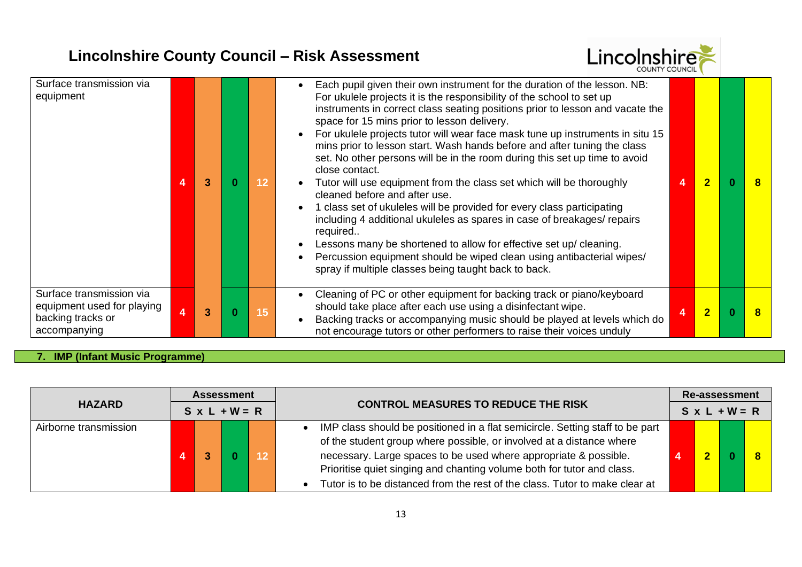

| Surface transmission via<br>equipment                                                       | 4              | 3 | 12 | Each pupil given their own instrument for the duration of the lesson. NB:<br>For ukulele projects it is the responsibility of the school to set up<br>instruments in correct class seating positions prior to lesson and vacate the<br>space for 15 mins prior to lesson delivery.<br>For ukulele projects tutor will wear face mask tune up instruments in situ 15<br>mins prior to lesson start. Wash hands before and after tuning the class<br>set. No other persons will be in the room during this set up time to avoid<br>close contact.<br>Tutor will use equipment from the class set which will be thoroughly<br>cleaned before and after use.<br>1 class set of ukuleles will be provided for every class participating<br>including 4 additional ukuleles as spares in case of breakages/repairs<br>required<br>Lessons many be shortened to allow for effective set up/ cleaning.<br>Percussion equipment should be wiped clean using antibacterial wipes/<br>spray if multiple classes being taught back to back. | 4 | $\Omega$ |  |
|---------------------------------------------------------------------------------------------|----------------|---|----|---------------------------------------------------------------------------------------------------------------------------------------------------------------------------------------------------------------------------------------------------------------------------------------------------------------------------------------------------------------------------------------------------------------------------------------------------------------------------------------------------------------------------------------------------------------------------------------------------------------------------------------------------------------------------------------------------------------------------------------------------------------------------------------------------------------------------------------------------------------------------------------------------------------------------------------------------------------------------------------------------------------------------------|---|----------|--|
| Surface transmission via<br>equipment used for playing<br>backing tracks or<br>accompanying | $\overline{4}$ | 3 | 15 | Cleaning of PC or other equipment for backing track or piano/keyboard<br>should take place after each use using a disinfectant wipe.<br>Backing tracks or accompanying music should be played at levels which do<br>not encourage tutors or other performers to raise their voices unduly                                                                                                                                                                                                                                                                                                                                                                                                                                                                                                                                                                                                                                                                                                                                       | 4 |          |  |

### **7. IMP (Infant Music Programme)**

| <b>Assessment</b><br><b>HAZARD</b><br>$S \times L + W = R$ |  |  | <b>CONTROL MEASURES TO REDUCE THE RISK</b> |  | <b>Re-assessment</b>                                                                                                                                                                                                                                                                                                                                                               |  |  |  |  |  |
|------------------------------------------------------------|--|--|--------------------------------------------|--|------------------------------------------------------------------------------------------------------------------------------------------------------------------------------------------------------------------------------------------------------------------------------------------------------------------------------------------------------------------------------------|--|--|--|--|--|
|                                                            |  |  |                                            |  | $S \times L + W = R$                                                                                                                                                                                                                                                                                                                                                               |  |  |  |  |  |
| Airborne transmission                                      |  |  |                                            |  | IMP class should be positioned in a flat semicircle. Setting staff to be part<br>of the student group where possible, or involved at a distance where<br>necessary. Large spaces to be used where appropriate & possible.<br>Prioritise quiet singing and chanting volume both for tutor and class.<br>Tutor is to be distanced from the rest of the class. Tutor to make clear at |  |  |  |  |  |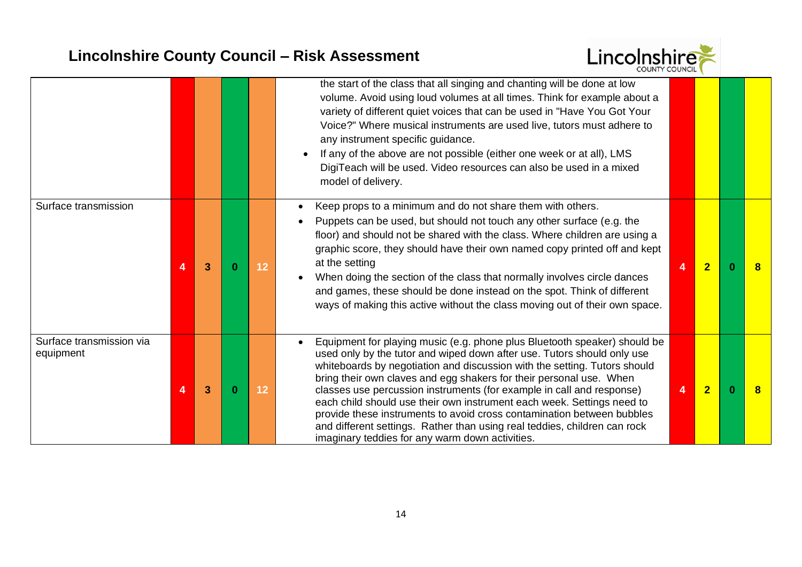

|                                       |   |   |          |    | the start of the class that all singing and chanting will be done at low<br>volume. Avoid using loud volumes at all times. Think for example about a<br>variety of different quiet voices that can be used in "Have You Got Your<br>Voice?" Where musical instruments are used live, tutors must adhere to<br>any instrument specific guidance.<br>If any of the above are not possible (either one week or at all), LMS<br>DigiTeach will be used. Video resources can also be used in a mixed<br>model of delivery.                                                                                                                                                 |                |                |   |
|---------------------------------------|---|---|----------|----|-----------------------------------------------------------------------------------------------------------------------------------------------------------------------------------------------------------------------------------------------------------------------------------------------------------------------------------------------------------------------------------------------------------------------------------------------------------------------------------------------------------------------------------------------------------------------------------------------------------------------------------------------------------------------|----------------|----------------|---|
| Surface transmission                  | 4 | 3 | $\bf{0}$ | 12 | Keep props to a minimum and do not share them with others.<br>$\bullet$<br>Puppets can be used, but should not touch any other surface (e.g. the<br>floor) and should not be shared with the class. Where children are using a<br>graphic score, they should have their own named copy printed off and kept<br>at the setting<br>When doing the section of the class that normally involves circle dances<br>and games, these should be done instead on the spot. Think of different<br>ways of making this active without the class moving out of their own space.                                                                                                   | $\overline{4}$ | $\overline{2}$ | 8 |
| Surface transmission via<br>equipment | 4 | 3 | 0        | 12 | Equipment for playing music (e.g. phone plus Bluetooth speaker) should be<br>used only by the tutor and wiped down after use. Tutors should only use<br>whiteboards by negotiation and discussion with the setting. Tutors should<br>bring their own claves and egg shakers for their personal use. When<br>classes use percussion instruments (for example in call and response)<br>each child should use their own instrument each week. Settings need to<br>provide these instruments to avoid cross contamination between bubbles<br>and different settings. Rather than using real teddies, children can rock<br>imaginary teddies for any warm down activities. |                | $\overline{2}$ | 8 |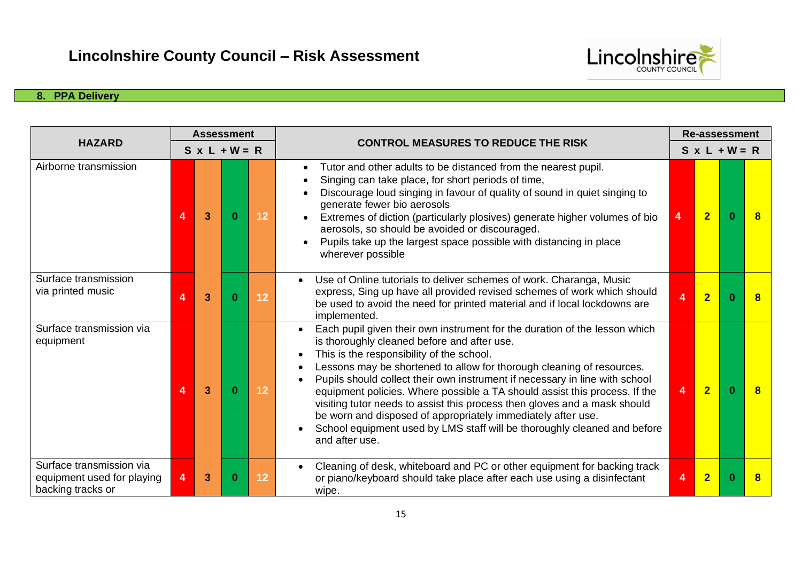

### **8. PPA Delivery**

|                                                                             |                | <b>Assessment</b> |                      |    |                                                                                                                                                                                                                                                                                                                                                                                                                                                                                                                                                                                                                                                         |   | <b>Re-assessment</b> |          |   |  |  |  |
|-----------------------------------------------------------------------------|----------------|-------------------|----------------------|----|---------------------------------------------------------------------------------------------------------------------------------------------------------------------------------------------------------------------------------------------------------------------------------------------------------------------------------------------------------------------------------------------------------------------------------------------------------------------------------------------------------------------------------------------------------------------------------------------------------------------------------------------------------|---|----------------------|----------|---|--|--|--|
| <b>HAZARD</b>                                                               |                |                   | $S \times L + W = R$ |    | <b>CONTROL MEASURES TO REDUCE THE RISK</b>                                                                                                                                                                                                                                                                                                                                                                                                                                                                                                                                                                                                              |   | $S \times L + W = R$ |          |   |  |  |  |
| Airborne transmission                                                       | 4              | 3                 |                      | 12 | Tutor and other adults to be distanced from the nearest pupil.<br>Singing can take place, for short periods of time,<br>Discourage loud singing in favour of quality of sound in quiet singing to<br>generate fewer bio aerosols<br>Extremes of diction (particularly plosives) generate higher volumes of bio<br>aerosols, so should be avoided or discouraged.<br>Pupils take up the largest space possible with distancing in place<br>wherever possible                                                                                                                                                                                             | 4 | $\overline{2}$       | $\Omega$ | 8 |  |  |  |
| Surface transmission<br>via printed music                                   | Δ              | 3                 |                      | 12 | Use of Online tutorials to deliver schemes of work. Charanga, Music<br>express, Sing up have all provided revised schemes of work which should<br>be used to avoid the need for printed material and if local lockdowns are<br>implemented.                                                                                                                                                                                                                                                                                                                                                                                                             | 4 | $\overline{2}$       |          | 8 |  |  |  |
| Surface transmission via<br>equipment                                       | Δ              | 3                 |                      | 12 | Each pupil given their own instrument for the duration of the lesson which<br>is thoroughly cleaned before and after use.<br>This is the responsibility of the school.<br>Lessons may be shortened to allow for thorough cleaning of resources.<br>Pupils should collect their own instrument if necessary in line with school<br>equipment policies. Where possible a TA should assist this process. If the<br>visiting tutor needs to assist this process then gloves and a mask should<br>be worn and disposed of appropriately immediately after use.<br>School equipment used by LMS staff will be thoroughly cleaned and before<br>and after use. | 4 | $\overline{2}$       | 0        | 8 |  |  |  |
| Surface transmission via<br>equipment used for playing<br>backing tracks or | $\overline{4}$ | 3                 |                      | 12 | Cleaning of desk, whiteboard and PC or other equipment for backing track<br>$\bullet$<br>or piano/keyboard should take place after each use using a disinfectant<br>wipe.                                                                                                                                                                                                                                                                                                                                                                                                                                                                               | 4 | $\overline{2}$       |          |   |  |  |  |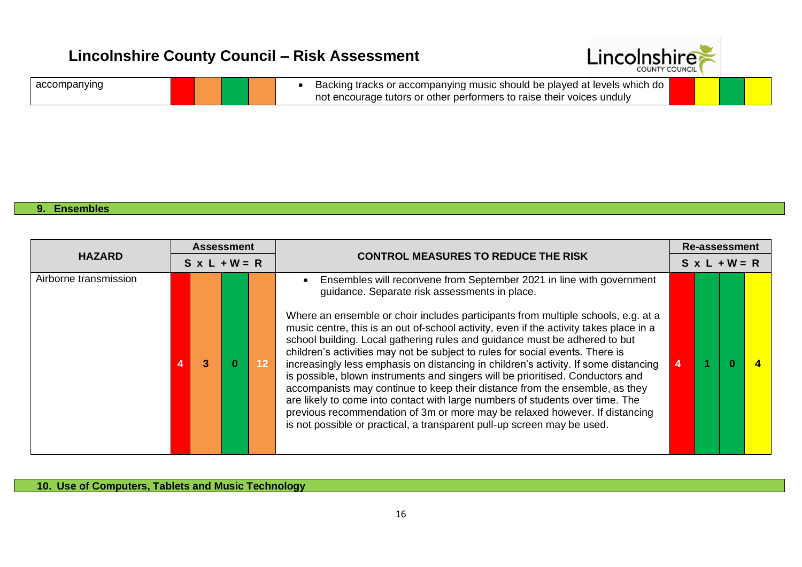

| accompanying |  |  |
|--------------|--|--|
|--------------|--|--|

#### **9. Ensembles**

| <b>HAZARD</b>         |  | <b>Assessment</b>    |  |     |                                                                                                                                                                                                                                                                                                                                                                                                                                                                                                                                                                                                                                                                                                                                                                                                                                                                                                                                                                        |  | <b>Re-assessment</b> |  |  |  |  |  |
|-----------------------|--|----------------------|--|-----|------------------------------------------------------------------------------------------------------------------------------------------------------------------------------------------------------------------------------------------------------------------------------------------------------------------------------------------------------------------------------------------------------------------------------------------------------------------------------------------------------------------------------------------------------------------------------------------------------------------------------------------------------------------------------------------------------------------------------------------------------------------------------------------------------------------------------------------------------------------------------------------------------------------------------------------------------------------------|--|----------------------|--|--|--|--|--|
|                       |  | $S \times L + W = R$ |  |     | <b>CONTROL MEASURES TO REDUCE THE RISK</b>                                                                                                                                                                                                                                                                                                                                                                                                                                                                                                                                                                                                                                                                                                                                                                                                                                                                                                                             |  | $S \times L + W = R$ |  |  |  |  |  |
| Airborne transmission |  |                      |  | 121 | Ensembles will reconvene from September 2021 in line with government<br>guidance. Separate risk assessments in place.<br>Where an ensemble or choir includes participants from multiple schools, e.g. at a<br>music centre, this is an out of-school activity, even if the activity takes place in a<br>school building. Local gathering rules and guidance must be adhered to but<br>children's activities may not be subject to rules for social events. There is<br>increasingly less emphasis on distancing in children's activity. If some distancing<br>is possible, blown instruments and singers will be prioritised. Conductors and<br>accompanists may continue to keep their distance from the ensemble, as they<br>are likely to come into contact with large numbers of students over time. The<br>previous recommendation of 3m or more may be relaxed however. If distancing<br>is not possible or practical, a transparent pull-up screen may be used. |  |                      |  |  |  |  |  |

**10. Use of Computers, Tablets and Music Technology**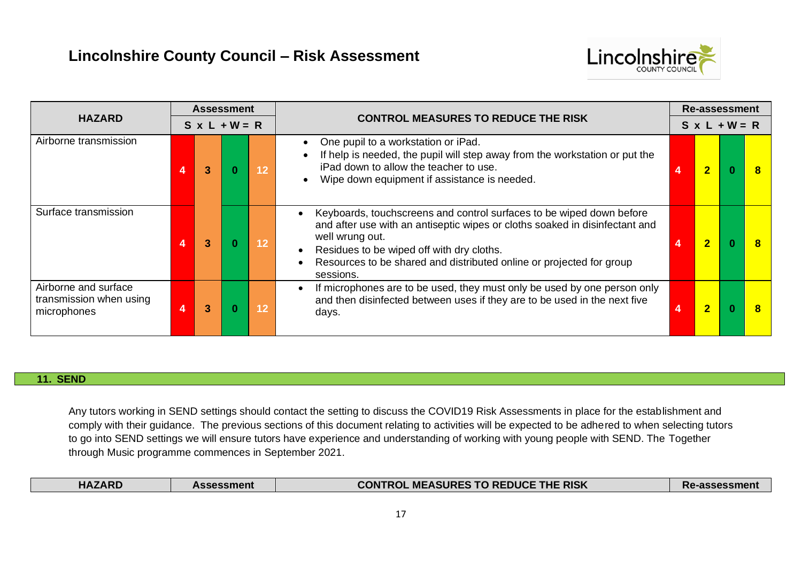

|                                                                | <b>Assessment</b>    |                |  |                                            |                                                                                                                                                                                                                                                                                                          |  | Re-assessment           |  |  |  |  |  |
|----------------------------------------------------------------|----------------------|----------------|--|--------------------------------------------|----------------------------------------------------------------------------------------------------------------------------------------------------------------------------------------------------------------------------------------------------------------------------------------------------------|--|-------------------------|--|--|--|--|--|
| <b>HAZARD</b>                                                  | $S \times L + W = R$ |                |  | <b>CONTROL MEASURES TO REDUCE THE RISK</b> | $S \times L + W = R$                                                                                                                                                                                                                                                                                     |  |                         |  |  |  |  |  |
| Airborne transmission                                          | 4                    | $\mathbf{3}$   |  | 12                                         | One pupil to a workstation or iPad.<br>If help is needed, the pupil will step away from the workstation or put the<br>iPad down to allow the teacher to use.<br>Wipe down equipment if assistance is needed.                                                                                             |  | $\overline{2}$          |  |  |  |  |  |
| Surface transmission                                           |                      | 3              |  | $\overline{1}2$                            | Keyboards, touchscreens and control surfaces to be wiped down before<br>and after use with an antiseptic wipes or cloths soaked in disinfectant and<br>well wrung out.<br>Residues to be wiped off with dry cloths.<br>Resources to be shared and distributed online or projected for group<br>sessions. |  | $\overline{\mathbf{2}}$ |  |  |  |  |  |
| Airborne and surface<br>transmission when using<br>microphones |                      | 3 <sup>1</sup> |  | $\overline{1}2$                            | If microphones are to be used, they must only be used by one person only<br>and then disinfected between uses if they are to be used in the next five<br>days.                                                                                                                                           |  | $\overline{2}$          |  |  |  |  |  |

### **11. SEND**

Any tutors working in SEND settings should contact the setting to discuss the COVID19 Risk Assessments in place for the establishment and comply with their guidance. The previous sections of this document relating to activities will be expected to be adhered to when selecting tutors to go into SEND settings we will ensure tutors have experience and understanding of working with young people with SEND. The Together through Music programme commences in September 2021.

| <b>HAZARD</b> | Assessment | <b>L MEASURES TO REDUCE THE RISK</b><br><b>CONTROL</b> | -assessment<br>Re. |
|---------------|------------|--------------------------------------------------------|--------------------|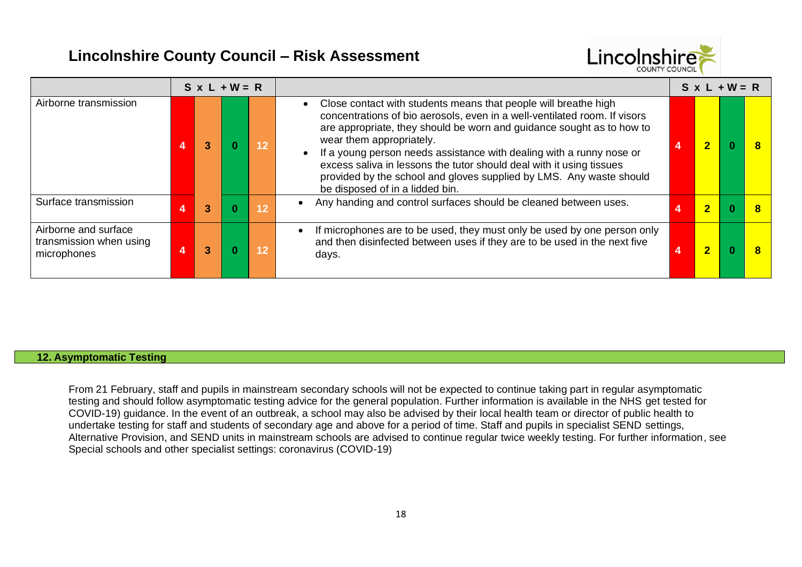

|                                                                | $S \times L + W = R$ |  |    |                                                                                                                                                                                                                                                                                                                                                                                                                                                                                                             |  | $S \times L + W = R$ |  |  |  |  |  |
|----------------------------------------------------------------|----------------------|--|----|-------------------------------------------------------------------------------------------------------------------------------------------------------------------------------------------------------------------------------------------------------------------------------------------------------------------------------------------------------------------------------------------------------------------------------------------------------------------------------------------------------------|--|----------------------|--|--|--|--|--|
| Airborne transmission                                          |                      |  | 12 | Close contact with students means that people will breathe high<br>concentrations of bio aerosols, even in a well-ventilated room. If visors<br>are appropriate, they should be worn and guidance sought as to how to<br>wear them appropriately.<br>If a young person needs assistance with dealing with a runny nose or<br>excess saliva in lessons the tutor should deal with it using tissues<br>provided by the school and gloves supplied by LMS. Any waste should<br>be disposed of in a lidded bin. |  |                      |  |  |  |  |  |
| Surface transmission                                           | 3                    |  | 12 | Any handing and control surfaces should be cleaned between uses.                                                                                                                                                                                                                                                                                                                                                                                                                                            |  | 2                    |  |  |  |  |  |
| Airborne and surface<br>transmission when using<br>microphones | 3                    |  | 12 | If microphones are to be used, they must only be used by one person only<br>and then disinfected between uses if they are to be used in the next five<br>days.                                                                                                                                                                                                                                                                                                                                              |  | 2                    |  |  |  |  |  |

### **12. Asymptomatic Testing**

From 21 February, staff and pupils in mainstream secondary schools will not be expected to continue taking part in regular asymptomatic testing and should follow asymptomatic testing advice for the general population. Further information is available in the NHS get tested for COVID-19) guidance. In the event of an outbreak, a school may also be advised by their local health team or director of public health to undertake testing for staff and students of secondary age and above for a period of time. Staff and pupils in specialist SEND settings, Alternative Provision, and SEND units in mainstream schools are advised to continue regular twice weekly testing. For further information, see Special schools and other specialist settings: coronavirus (COVID-19)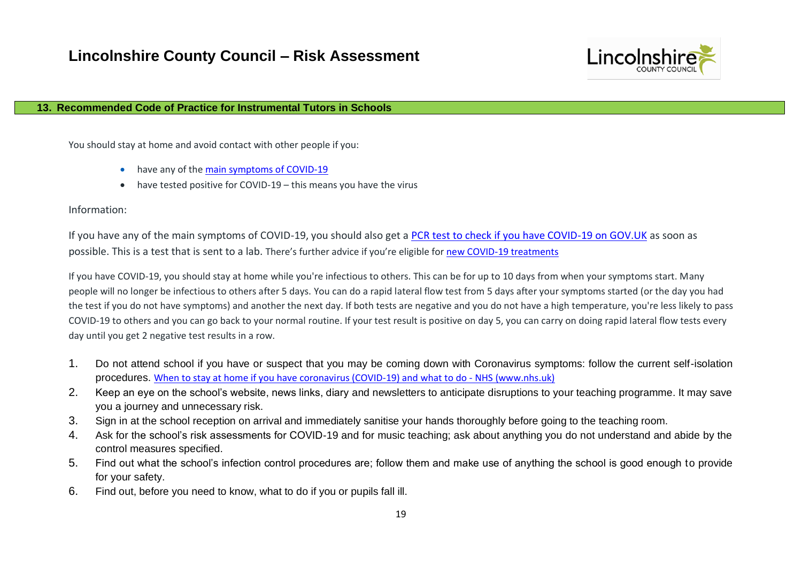

#### **13. Recommended Code of Practice for Instrumental Tutors in Schools**

You should stay at home and avoid contact with other people if you:

- have any of th[e main symptoms of COVID-19](https://www.nhs.uk/conditions/coronavirus-covid-19/symptoms/main-symptoms/)
- have tested positive for COVID-19 this means you have the virus

Information:

If you have any of the main symptoms of COVID-19, you should also get a [PCR test to check if you have COVID-19 on GOV.UK](https://www.gov.uk/get-coronavirus-test) as soon as possible. This is a test that is sent to a lab. There's further advice if you're eligible for [new COVID-19 treatments](https://www.nhs.uk/conditions/coronavirus-covid-19/treatments-for-coronavirus/)

If you have COVID-19, you should stay at home while you're infectious to others. This can be for up to 10 days from when your symptoms start. Many people will no longer be infectious to others after 5 days. You can do a rapid lateral flow test from 5 days after your symptoms started (or the day you had the test if you do not have symptoms) and another the next day. If both tests are negative and you do not have a high temperature, you're less likely to pass COVID-19 to others and you can go back to your normal routine. If your test result is positive on day 5, you can carry on doing rapid lateral flow tests every day until you get 2 negative test results in a row.

- 1. Do not attend school if you have or suspect that you may be coming down with Coronavirus symptoms: follow the current self-isolation procedures. [When to stay at home if you have coronavirus \(COVID-19\) and what to do -](https://www.nhs.uk/conditions/coronavirus-covid-19/self-isolation-and-treatment/when-to-self-isolate-and-what-to-do/) NHS (www.nhs.uk)
- 2. Keep an eye on the school's website, news links, diary and newsletters to anticipate disruptions to your teaching programme. It may save you a journey and unnecessary risk.
- 3. Sign in at the school reception on arrival and immediately sanitise your hands thoroughly before going to the teaching room.
- 4. Ask for the school's risk assessments for COVID-19 and for music teaching; ask about anything you do not understand and abide by the control measures specified.
- 5. Find out what the school's infection control procedures are; follow them and make use of anything the school is good enough to provide for your safety.
- 6. Find out, before you need to know, what to do if you or pupils fall ill.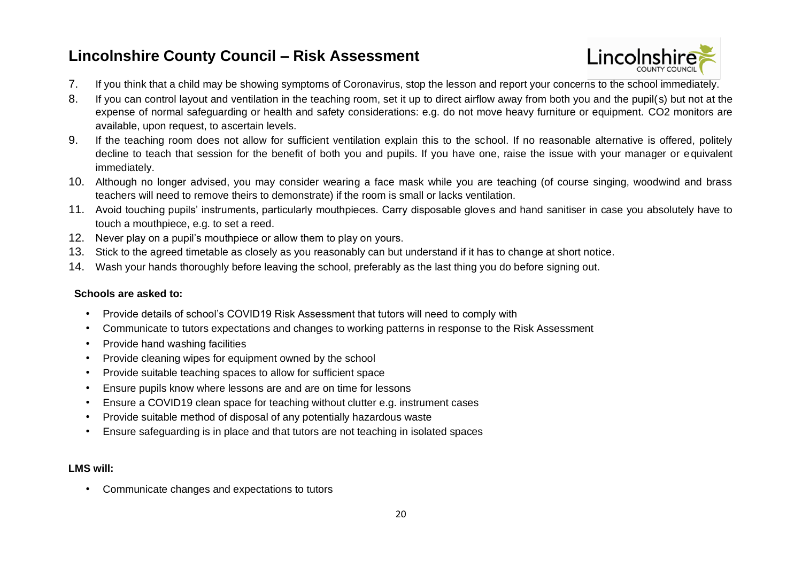

- 7. If you think that a child may be showing symptoms of Coronavirus, stop the lesson and report your concerns to the school immediately.
- 8. If you can control layout and ventilation in the teaching room, set it up to direct airflow away from both you and the pupil( s) but not at the expense of normal safeguarding or health and safety considerations: e.g. do not move heavy furniture or equipment. CO2 monitors are available, upon request, to ascertain levels.
- 9. If the teaching room does not allow for sufficient ventilation explain this to the school. If no reasonable alternative is offered, politely decline to teach that session for the benefit of both you and pupils. If you have one, raise the issue with your manager or equivalent immediately.
- 10. Although no longer advised, you may consider wearing a face mask while you are teaching (of course singing, woodwind and brass teachers will need to remove theirs to demonstrate) if the room is small or lacks ventilation.
- 11. Avoid touching pupils' instruments, particularly mouthpieces. Carry disposable gloves and hand sanitiser in case you absolutely have to touch a mouthpiece, e.g. to set a reed.
- 12. Never play on a pupil's mouthpiece or allow them to play on yours.
- 13. Stick to the agreed timetable as closely as you reasonably can but understand if it has to change at short notice.
- 14. Wash your hands thoroughly before leaving the school, preferably as the last thing you do before signing out.

### **Schools are asked to:**

- Provide details of school's COVID19 Risk Assessment that tutors will need to comply with
- Communicate to tutors expectations and changes to working patterns in response to the Risk Assessment
- Provide hand washing facilities
- Provide cleaning wipes for equipment owned by the school
- Provide suitable teaching spaces to allow for sufficient space
- Ensure pupils know where lessons are and are on time for lessons
- Ensure a COVID19 clean space for teaching without clutter e.g. instrument cases
- Provide suitable method of disposal of any potentially hazardous waste
- Ensure safeguarding is in place and that tutors are not teaching in isolated spaces

### **LMS will:**

• Communicate changes and expectations to tutors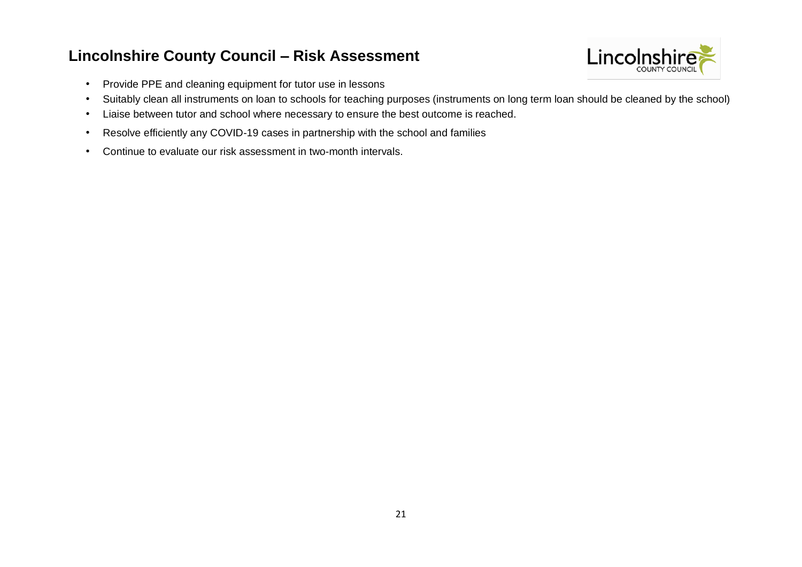

- Provide PPE and cleaning equipment for tutor use in lessons
- Suitably clean all instruments on loan to schools for teaching purposes (instruments on long term loan should be cleaned by the school)
- Liaise between tutor and school where necessary to ensure the best outcome is reached.
- Resolve efficiently any COVID-19 cases in partnership with the school and families
- Continue to evaluate our risk assessment in two-month intervals.